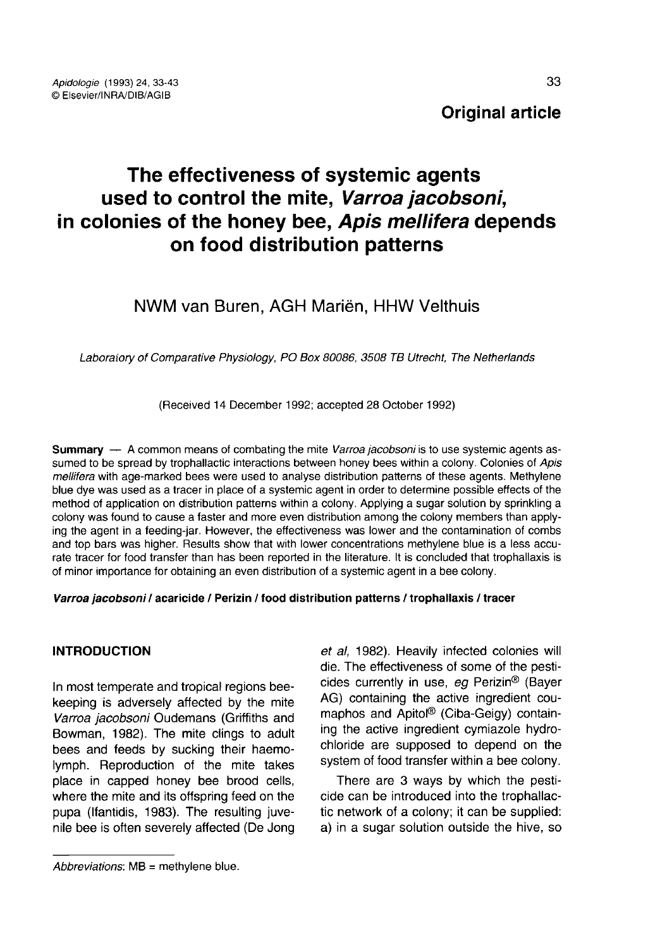# Original article

# The effectiveness of systemic agents used to control the mite, Varroa jacobsoni, in colonies of the honey bee, Apis mellifera depends on food distribution patterns

# NWM van Buren, AGH Mariën, HHW Velthuis

Laboraiory of Comparative Physiology, PO Box 80086, 3508 TB Utrecht, The Netherlands

(Received 14 December 1992; accepted 28 October 1992)

**Summary** — A common means of combating the mite Varroa jacobsoni is to use systemic agents assumed to be spread by trophallactic interactions between honey bees within a colony. Colonies of Apis mellifera with age-marked bees were used to analyse distribution patterns of these agents. Methylene blue dye was used as a tracer in place of a systemic agent in order to determine possible effects of the method of application on distribution patterns within a colony. Applying a sugar solution by sprinkling a colony was found to cause a faster and more even distribution among the colony members than applying the agent in a feeding-jar. However, the effectiveness was lower and the contamination of combs and top bars was higher. Results show that with lower concentrations methylene blue is a less accurate tracer for food transfer than has been reported in the literature. It is concluded that trophallaxis is of minor importance for obtaining an even distribution of a systemic agent in a bee colony.

#### Varroa jacobsoni / acaricide / Perizin / food distribution patterns / trophallaxis / tracer

# INTRODUCTION

In most temperate and tropical regions beekeeping is adversely affected by the mite Varroa jacobsoni Oudemans (Griffiths and Bowman, 1982). The mite clings to adult bees and feeds by sucking their haemolymph. Reproduction of the mite takes place in capped honey bee brood cells, where the mite and its offspring feed on the pupa (Ifantidis, 1983). The resulting juvenile bee is often severely affected (De Jong et al, 1982). Heavily infected colonies will die. The effectiveness of some of the pesticides currently in use, eg Perizin<sup>®</sup> (Bayer AG) containing the active ingredient coumaphos and Apitol® (Ciba-Geigy) containing the active ingredient cymiazole hydrochloride are supposed to depend on the system of food transfer within a bee colony.

There are 3 ways by which the pesticide can be introduced into the trophallactic network of a colony; it can be supplied: a) in a sugar solution outside the hive, so

 $Abbreviations: MB = methylene blue.$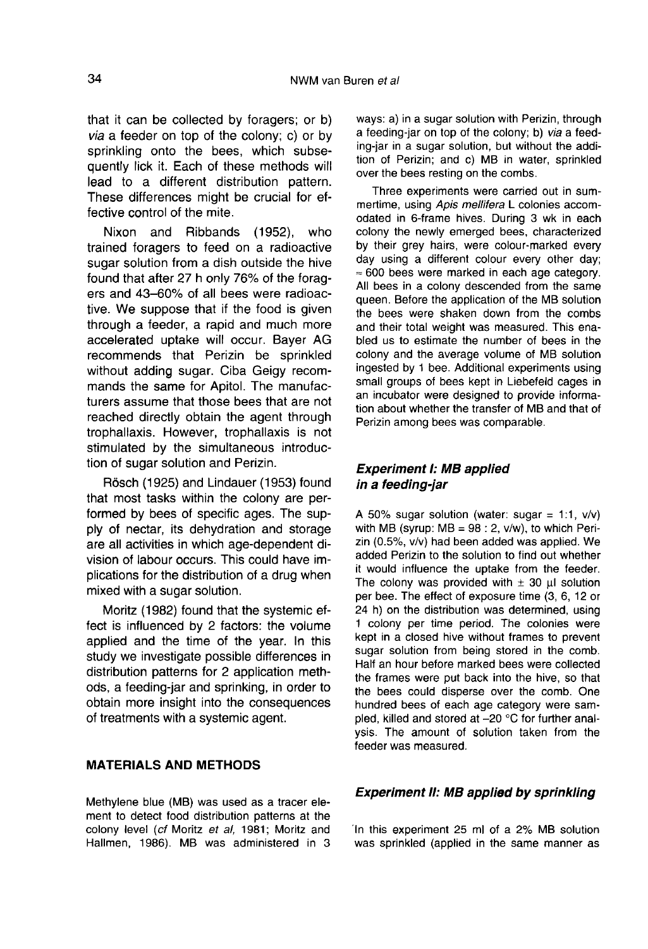that it can be collected by foragers; or b) via a feeder on top of the colony; c) or by sprinkling onto the bees, which subsequently lick it. Each of these methods will lead to a different distribution pattern. These differences might be crucial for effective control of the mite.

Nixon and Ribbands (1952), who trained foragers to feed on a radioactive sugar solution from a dish outside the hive found that after 27 h only 76% of the forag ers and 43-60% of all bees were radioactive. We suppose that if the food is given through a feeder, a rapid and much more accelerated uptake will occur. Bayer AG recommends that Perizin be sprinkled without adding sugar. Ciba Geigy recommands the same for Apitol. The manufacturers assume that those bees that are not reached directly obtain the agent through trophallaxis. However, trophallaxis is not stimulated by the simultaneous introduction of sugar solution and Perizin.

Rösch (1925) and Lindauer (1953) found that most tasks within the colony are performed by bees of specific ages. The supply of nectar, its dehydration and storage are all activities in which age-dependent division of labour occurs. This could have implications for the distribution of a drug when mixed with a sugar solution.

Moritz (1982) found that the systemic effect is influenced by 2 factors: the volume applied and the time of the year. In this study we investigate possible differences in distribution patterns for 2 application methods, a feeding-jar and sprinking, in order to obtain more insight into the consequences of treatments with a systemic agent.

# MATERIALS AND METHODS

Methylene blue (MB) was used as a tracer element to detect food distribution patterns at the colony level (cf Moritz et al, 1981; Moritz and Hallmen, 1986). MB was administered in 3 ways: a) in a sugar solution with Perizin, through a feeding-jar on top of the colony; b) via a feeding-jar in a sugar solution, but without the addition of Perizin; and c) MB in water, sprinkled over the bees resting on the combs.

Three experiments were carried out in summertime, using Apis mellifera L colonies accomodated in 6-frame hives. During 3 wk in each colony the newly emerged bees, characterized by their grey hairs, were colour-marked every day using a different colour every other day; ≈ 600 bees were marked in each age category. All bees in a colony descended from the same queen. Before the application of the MB solution the bees were shaken down from the combs and their total weight was measured. This enabled us to estimate the number of bees in the colony and the average volume of MB solution ingested by 1 bee. Additional experiments using small groups of bees kept in Liebefeld cages in an incubator were designed to provide information about whether the transfer of MB and that of Perizin among bees was comparable.

# Experiment I: MB applied in a feeding-jar

A 50% sugar solution (water: sugar = 1:1,  $v/v$ ) with MB (syrup:  $MB = 98 : 2$ , v/w), to which Perizin (0.5%, v/v) had been added was applied. We added Perizin to the solution to find out whether it would influence the uptake from the feeder. The colony was provided with  $\pm$  30  $\mu$  solution per bee. The effect of exposure time (3, 6, 12 or 24 h) on the distribution was determined, using 1 colony per time period. The colonies were kept in a closed hive without frames to prevent sugar solution from being stored in the comb. Half an hour before marked bees were collected the frames were put back into the hive, so that the bees could disperse over the comb. One hundred bees of each age category were sampled, killed and stored at -20 °C for further analysis. The amount of solution taken from the feeder was measured.

# Experiment II: MB applied by sprinkling

In this experiment 25 ml of a 2% MB solution was sprinkled (applied in the same manner as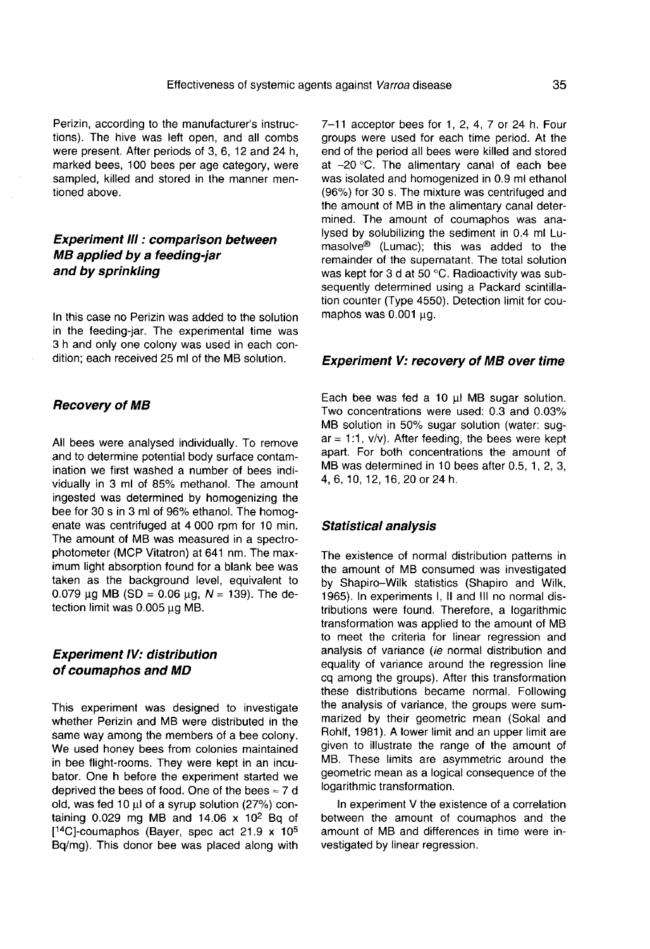Perizin, according to the manufacturer's instructions). The hive was left open, and all combs were present. After periods of 3, 6, 12 and 24 h, marked bees, 100 bees per age category, were sampled, killed and stored in the manner mentioned above.

# Experiment III : comparison between MB applied by a feeding-jar and by sprinkling

In this case no Perizin was added to the solution in the feeding-jar. The experimental time was 3 h and only one colony was used in each condition; each received 25 ml of the MB solution.

# Recovery of MB

All bees were analysed individually. To remove and to determine potential body surface contamination we first washed a number of bees individually in 3 ml of 85% methanol. The amount ingested was determined by homogenizing the bee for 30 s in 3 ml of 96% ethanol. The homog enate was centrifuged at 4 000 rpm for 10 min. The amount of MB was measured in a spectrophotometer (MCP Vitatron) at 641 nm. The maximum light absorption found for a blank bee was taken as the background level, equivalent to 0.079 μg MB (SD = 0.06 μg,  $N = 139$ ). The detection limit was 0.005 μg MB.

# Experiment IV: distribution of coumaphos and MD

This experiment was designed to investigate whether Perizin and MB were distributed in the<br>same way among the members of a bee colony. We used honey bees from colonies maintained in bee flight-rooms. They were kept in an incubator. One h before the experiment started we deprived the bees of food. One of the bees ≈ 7 d<br>old, was fed 10  $\mu$ l of a syrup solution (27%) con-<br>taining 0.029 mg MB and 14.06 x 10<sup>2</sup> Bq of<br>[<sup>14</sup>C]-coumaphos (Bayer, spec act 21.9 x 10<sup>5</sup><br>Bq/mg). This donor bee was old, was fed 10 μl of a syrup solution (27%) conold, was fed 10 μl of a syrup solution (27%) con-<br>taining 0.029 mg MB and 14.06 x 10<sup>2</sup> Bq of whenever to clean the We used honey<br>We used honey<br>in bee flight-room<br>bator. One h bee<br>deprived the bee<br>old, was fed 10  $\mu$ <br>taining 0.029 me<br>[<sup>14</sup>C]-coumaphos<br>Bq/mg). This dor Bq/mg). This donor bee was placed along with

7-11 acceptor bees for 1, 2, 4, 7 or 24 h. Four groups were used for each time period. At the end of the period all bees were killed and stored at -20 °C. The alimentary canal of each bee was isolated and homogenized in 0.9 ml ethanol (96%) for 30 s. The mixture was centrifuged and the amount of MB in the alimentary canal determined. The amount of coumaphos was analysed by solubilizing the sediment in 0.4 ml Lumasolve® (Lumac); this was added to the remainder of the supernatant. The total solution was kept for 3 d at 50 °C. Radioactivity was subsequently determined using a Packard scintillation counter (Type 4550). Detection limit for coumaphos was 0.001 μg.

#### Experiment V: recovery of MB over time

Each bee was fed a 10 μl MB sugar solution. Two concentrations were used: 0.3 and 0.03% MB solution in 50% sugar solution (water: sug  $ar = 1:1$ ,  $v/v$ ). After feeding, the bees were kept apart. For both concentrations the amount of MB was determined in 10 bees after 0.5, 1, 2, 3, 4, 6, 10, 12, 16, 20 or 24 h.

#### Statistical analysis

The existence of normal distribution patterns in the amount of MB consumed was investigated by Shapiro-Wilk statistics (Shapiro and Wilk, 1965). In experiments I, II and III no normal distributions were found. Therefore, a logarithmic transformation was applied to the amount of MB to meet the criteria for linear regression and analysis of variance (ie normal distribution and equality of variance around the regression line cq among the groups). After this transformation these distributions became normal. Following the analysis of variance, the groups were summarized by their geometric mean (Sokal and Rohlf, 1981). A lower limit and an upper limit are given to illustrate the range of the amount of MB. These limits are asymmetric around the geometric mean as a logical consequence of the logarithmic transformation.

In experiment V the existence of a correlation between the amount of coumaphos and the amount of MB and differences in time were investigated by linear regression.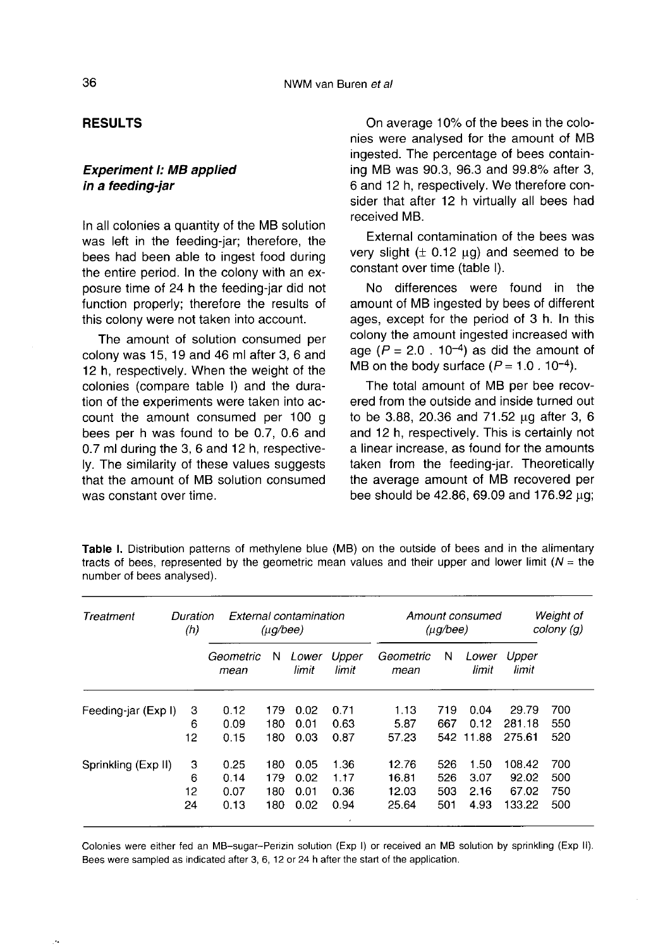# RESULTS

# Experiment I: MB applied in a feeding-jar

In all colonies a quantity of the MB solution was left in the feeding-jar; therefore, the bees had been able to ingest food during the entire period. In the colony with an exposure time of 24 h the feeding-jar did not function properly; therefore the results of this colony were not taken into account.

The amount of solution consumed per colony was 15, 19 and 46 ml after 3, 6 and 12 h, respectively. When the weight of the colonies (compare table I) and the duration of the experiments were taken into account the amount consumed per 100 g bees per h was found to be 0.7, 0.6 and 0.7 ml during the 3, 6 and 12 h, respectively. The similarity of these values suggests that the amount of MB solution consumed was constant over time.

On average 10% of the bees in the colonies were analysed for the amount of MB ingested. The percentage of bees containing MB was 90.3, 96.3 and 99.8% after 3, 6 and 12 h, respectively. We therefore consider that after 12 h virtually all bees had received MB.

External contamination of the bees was very slight  $(± 0.12 \mu q)$  and seemed to be constant over time (table I).

No differences were found in the amount of MB ingested by bees of different ages, except for the period of 3 h. In this colony the amount ingested increased with age ( $P = 2.0$ . 10<sup>-4</sup>) as did the amount of MB on the body surface  $(P = 1.0 \cdot 10^{-4})$ .

The total amount of MB per bee recovered from the outside and inside turned out to be 3.88, 20.36 and 71.52 μg after 3, 6 and 12 h, respectively. This is certainly not a linear increase, as found for the amounts taken from the feeding-jar. Theoretically the average amount of MB recovered per bee should be 42.86, 69.09 and 176.92 μg;

Table I. Distribution patterns of methylene blue (MB) on the outside of bees and in the alimentary tracts of bees, represented by the geometric mean values and their upper and lower limit ( $N =$  the number of bees analysed).

| Treatment           | Duration<br>(h) | External contamination<br>$(\mu q/bee)$ |     |                |                | Amount consumed<br>$(\mu q/bee)$ |     |                |                | Weight of<br>colony (g) |  |
|---------------------|-----------------|-----------------------------------------|-----|----------------|----------------|----------------------------------|-----|----------------|----------------|-------------------------|--|
|                     |                 | Geometric<br>mean                       | N   | Lower<br>limit | Upper<br>limit | Geometric<br>mean                | N   | Lower<br>limit | Upper<br>limit |                         |  |
| Feeding-jar (Exp I) | 3               | 0.12                                    | 179 | 0.02           | 0.71           | 1.13                             | 719 | 0.04           | 29.79          | 700                     |  |
|                     | 6               | 0.09                                    | 180 | 0.01           | 0.63           | 5.87                             | 667 | 0.12           | 281.18         | 550                     |  |
|                     | 12              | 0.15                                    | 180 | 0.03           | 0.87           | 57.23                            |     | 542 11.88      | 275.61         | 520                     |  |
| Sprinkling (Exp II) | 3               | 0.25                                    | 180 | 0.05           | 1.36           | 12.76                            | 526 | 1.50           | 108.42         | 700                     |  |
|                     | 6               | 0.14                                    | 179 | 0.02           | 1.17           | 16.81                            | 526 | 3.07           | 92.02          | 500                     |  |
|                     | 12              | 0.07                                    | 180 | 0.01           | 0.36           | 12.03                            | 503 | 2.16           | 67.02          | 750                     |  |
|                     | 24              | 0.13                                    | 180 | 0.02           | 0.94<br>٠      | 25.64                            | 501 | 4.93           | 133.22         | 500                     |  |

Colonies were either fed an MB-sugar-Perizin solution (Exp I) or received an MB solution by sprinkling (Exp II). Bees were sampled as indicated after 3, 6, 12 or 24 h after the start of the application.

 $\ddot{\phantom{a}}$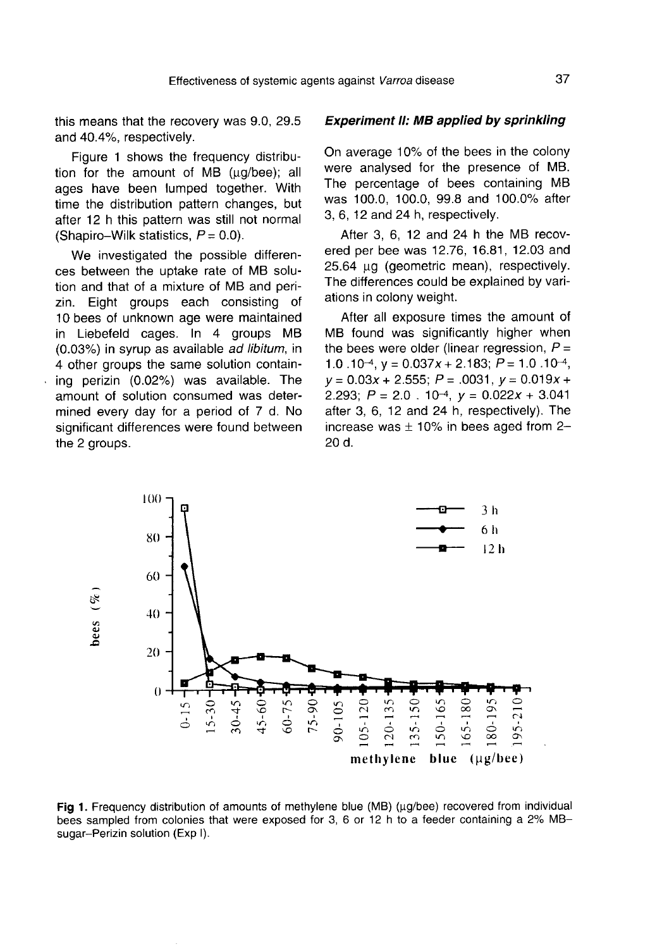this means that the recovery was 9.0, 29.5 and 40.4%, respectively.

Figure 1 shows the frequency distribution for the amount of MB (μg/bee); all ages have been lumped together. With time the distribution pattern changes, but after 12 h this pattern was still not normal (Shapiro-Wilk statistics,  $P=0.0$ ).

We investigated the possible differences between the uptake rate of MB solution and that of a mixture of MB and perizin. Eight groups each consisting of 10 bees of unknown age were maintained in Liebefeld cages. In 4 groups MB (0.03%) in syrup as available ad libitum, in 4 other groups the same solution containing perizin (0.02%) was available. The amount of solution consumed was determined every day for a period of 7 d. No significant differences were found between the 2 groups.

#### Experiment II: MB applied by sprinkling

On average 10% of the bees in the colony were analysed for the presence of MB. The percentage of bees containing MB was 100.0, 100.0, 99.8 and 100.0% after 3, 6, 12 and 24 h, respectively.

After 3, 6, 12 and 24 h the MB recovered per bee was 12.76, 16.81, 12.03 and 25.64 μg (geometric mean), respectively. The differences could be explained by variations in colony weight.

After all exposure times the amount of MB found was significantly higher when the bees were older (linear regression,  $P =$ 1.0.10<sup>-4</sup>,  $y = 0.037x + 2.183$ ;  $P = 1.0$ .10<sup>-4</sup>,  $y = 0.03x + 2.555$ ;  $P = .0031$ ,  $y = 0.019x + 2.293$ ;  $P = 2.0 \cdot 10^{-4}$ ,  $y = 0.022x + 3.041$ <br>  $2.293$ ;  $P = 2.0 \cdot 10^{-4}$ ,  $y = 0.022x + 3.041$ after 3, 6, 12 and 24 h, respectively). The increase was  $\pm$  10% in bees aged from 2-20 d.



Fig 1. Frequency distribution of amounts of methylene blue (MB) ( $\mu$ g/bee) recovered from individual bees sampled from colonies that were exposed for 3, 6 or 12 h to a feeder containing a 2% MBsugar-Perizin solution (Exp I).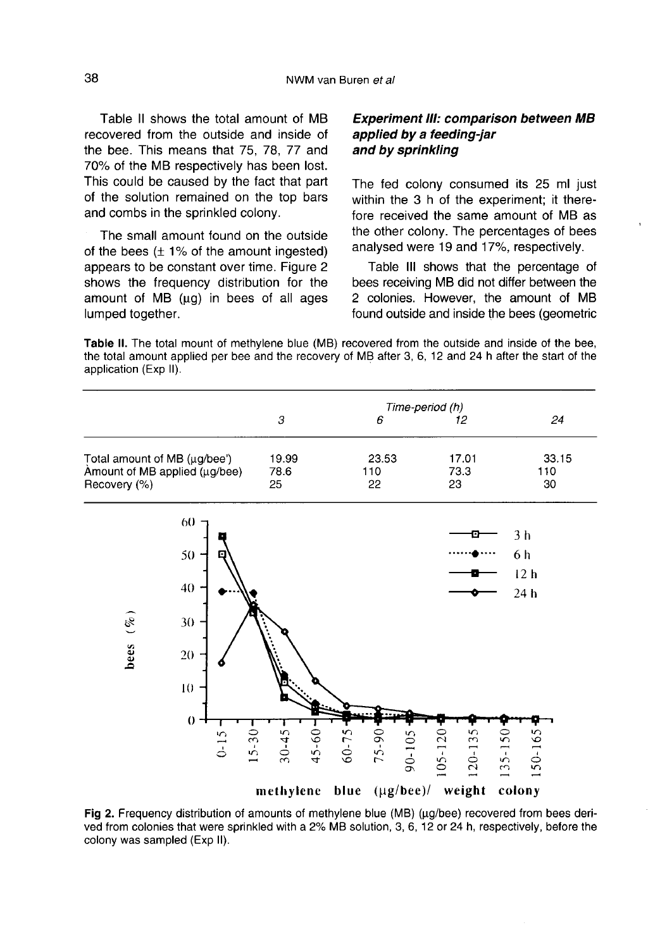Table II shows the total amount of MB recovered from the outside and inside of the bee. This means that 75, 78, 77 and 70% of the MB respectively has been lost. This could be caused by the fact that part of the solution remained on the top bars and combs in the sprinkled colony.

The small amount found on the outside of the bees  $(\pm 1\%$  of the amount ingested) appears to be constant over time. Figure 2 shows the frequency distribution for the amount of MB (μg) in bees of all ages lumped together.

# Experiment III: comparison between MB applied by a feeding-jar and by sprinkling

The fed colony consumed its 25 ml just within the 3 h of the experiment; it therefore received the same amount of MB as the other colony. The percentages of bees analysed were 19 and 17%, respectively.

Table III shows that the percentage of bees receiving MB did not differ between the 2 colonies. However, the amount of MB found outside and inside the bees (geometric

Table II. The total mount of methylene blue (MB) recovered from the outside and inside of the bee. the total amount applied per bee and the recovery of MB after 3, 6, 12 and 24 h after the start of the application (Exp II).

|                                                                               |                       | Time-period (h)        |                         |                              |                       |  |
|-------------------------------------------------------------------------------|-----------------------|------------------------|-------------------------|------------------------------|-----------------------|--|
|                                                                               |                       | $\boldsymbol{\beta}$   | 6                       | 12                           | 24                    |  |
| Total amount of MB (µg/bee')<br>Amount of MB applied (µg/bee)<br>Recovery (%) |                       | 19.99                  | 23.53                   | 17.01                        | 33.15                 |  |
|                                                                               |                       | 78.6<br>25             | 110<br>22               | 73.3<br>23                   | 110<br>30             |  |
| 60                                                                            |                       |                        |                         |                              | 3 <sub>h</sub>        |  |
| 50                                                                            | п                     |                        |                         |                              | 6h                    |  |
|                                                                               |                       |                        |                         |                              | 12 <sub>h</sub>       |  |
| 40                                                                            |                       |                        |                         |                              | 24 h                  |  |
| 30                                                                            |                       |                        |                         |                              |                       |  |
| bees $(\%)$                                                                   |                       |                        |                         |                              |                       |  |
| 20                                                                            |                       |                        |                         |                              |                       |  |
| 10                                                                            |                       |                        |                         |                              |                       |  |
|                                                                               |                       |                        |                         |                              |                       |  |
| $0 -$                                                                         |                       |                        |                         |                              |                       |  |
|                                                                               | $15 - 30$<br>$0 - 15$ | $45 - 60$<br>$30 - 45$ | 60-75<br>$75 - 90$      | 105-120<br>120-135<br>90-105 | $35 - 150$<br>150-165 |  |
|                                                                               |                       |                        |                         |                              | $\rightarrow$         |  |
|                                                                               |                       | methylene              | $(\mu g/$ bee)/<br>blue | weight                       | colony                |  |

Fig 2. Frequency distribution of amounts of methylene blue (MB) (µg/bee) recovered from bees derived from colonies that were sprinkled with a 2% MB solution, 3, 6, 12 or 24 h, respectively, before the colony was sampled (Exp II).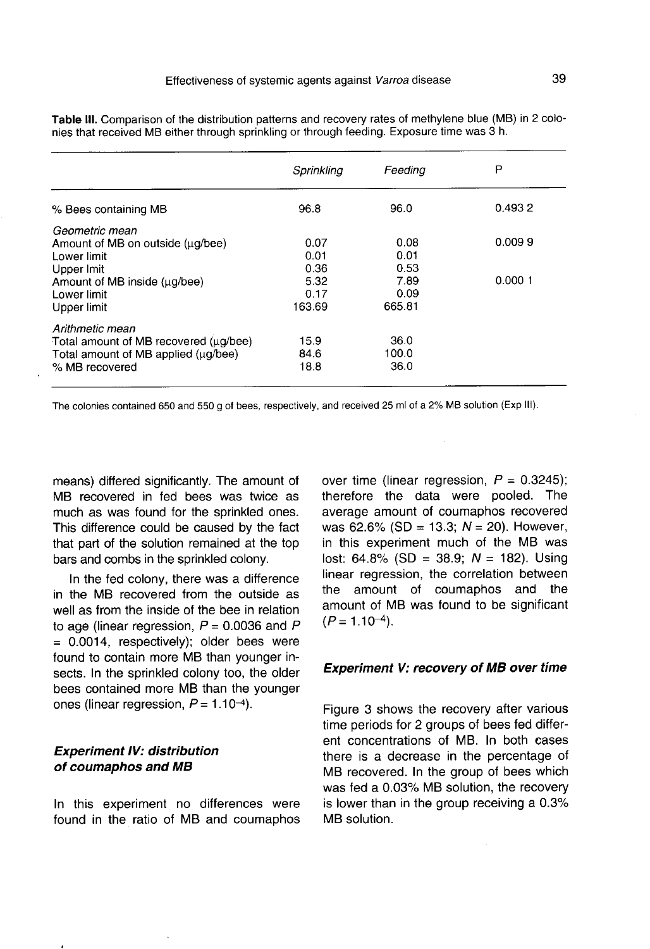|                                       | Sprinkling | Feeding | Р      |
|---------------------------------------|------------|---------|--------|
| % Bees containing MB                  | 96.8       | 96.0    | 0.4932 |
| Geometric mean                        |            |         |        |
| Amount of MB on outside (ug/bee)      | 0.07       | 0.08    | 0.0099 |
| Lower limit                           | 0.01       | 0.01    |        |
| Upper Imit                            | 0.36       | 0.53    |        |
| Amount of MB inside (ug/bee)          | 5.32       | 7.89    | 0.0001 |
| Lower limit                           | 0.17       | 0.09    |        |
| Upper limit                           | 163.69     | 665.81  |        |
| Arithmetic mean                       |            |         |        |
| Total amount of MB recovered (ug/bee) | 15.9       | 36.0    |        |
| Total amount of MB applied (ug/bee)   | 84.6       | 100.0   |        |
| % MB recovered                        | 18.8       | 36.0    |        |

Table III. Comparison of the distribution patterns and recovery rates of methylene blue (MB) in 2 colonies that received MB either through sprinkling or through feeding. Exposure time was 3 h.

The colonies contained 650 and 550 g of bees, respectively, and received 25 ml of a 2% MB solution (Exp III).

means) differed significantly. The amount of MB recovered in fed bees was twice as much as was found for the sprinkled ones. This difference could be caused by the fact that part of the solution remained at the top bars and combs in the sprinkled colony.

In the fed colony, there was a difference in the MB recovered from the outside as well as from the inside of the bee in relation to age (linear regression,  $P = 0.0036$  and P  $= 0.0014$ , respectively); older bees were found to contain more MB than younger insects. In the sprinkled colony too, the older bees contained more MB than the younger ones (linear regression,  $P = 1.10 - 4$ ).

# Experiment IV: distribution of coumaphos and MB

In this experiment no differences were found in the ratio of MB and coumaphos over time (linear regression,  $P = 0.3245$ ); therefore the data were pooled. The average amount of coumaphos recovered was 62.6% (SD = 13.3;  $N = 20$ ). However, in this experiment much of the MB was lost: 64.8% (SD = 38.9;  $N = 182$ ). Using linear regression, the correlation between the amount of coumaphos and the amount of MB was found to be significant  $(P = 1.10^{-4})$ .

## Experiment V: recovery of MB over time

Figure 3 shows the recovery after various time periods for 2 groups of bees fed different concentrations of MB. In both cases there is a decrease in the percentage of MB recovered. In the group of bees which was fed a 0.03% MB solution, the recovery is lower than in the group receiving a 0.3% MB solution.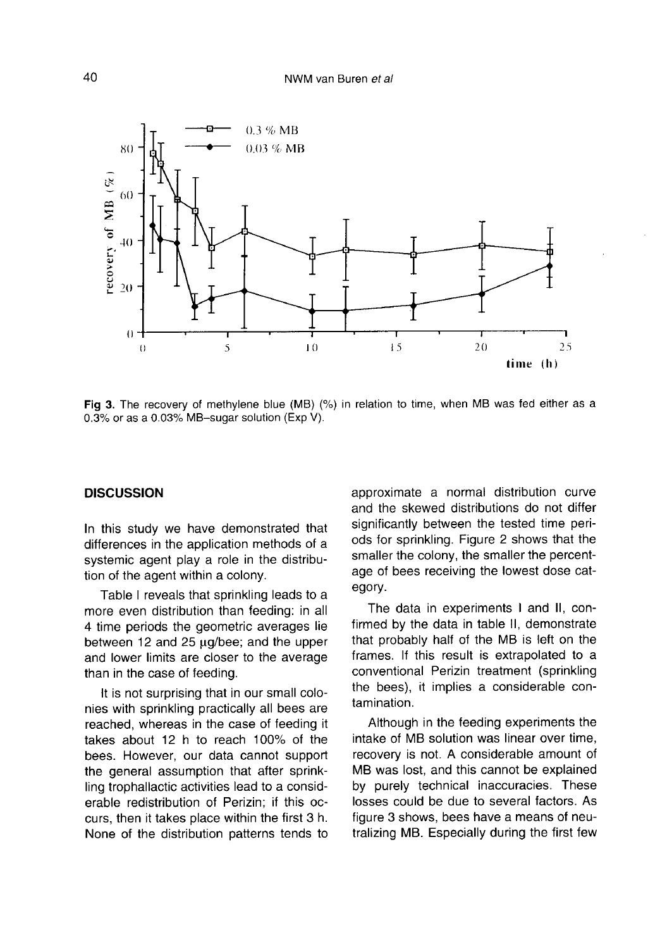

Fig 3. The recovery of methylene blue (MB) (%) in relation to time, when MB was fed either as a 0.3% or as a 0.03% MB-sugar solution (Exp V).

#### **DISCUSSION**

In this study we have demonstrated that differences in the application methods of a systemic agent play a role in the distribution of the agent within a colony.

Table I reveals that sprinkling leads to a more even distribution than feeding: in all 4 time periods the geometric averages lie between 12 and 25 μg/bee; and the upper and lower limits are closer to the average than in the case of feeding.

It is not surprising that in our small colonies with sprinkling practically all bees are reached, whereas in the case of feeding it takes about 12 h to reach 100% of the bees. However, our data cannot support the general assumption that after sprinkling trophallactic activities lead to a considerable redistribution of Perizin; if this occurs, then it takes place within the first 3 h. None of the distribution patterns tends to approximate a normal distribution curve and the skewed distributions do not differ significantly between the tested time periods for sprinkling. Figure 2 shows that the smaller the colony, the smaller the percentage of bees receiving the lowest dose category.

The data in experiments I and II, confirmed by the data in table II, demonstrate that probably half of the MB is left on the frames. If this result is extrapolated to a conventional Perizin treatment (sprinkling the bees), it implies a considerable contamination.

Although in the feeding experiments the intake of MB solution was linear over time, recovery is not. A considerable amount of MB was lost, and this cannot be explained by purely technical inaccuracies. These losses could be due to several factors. As figure 3 shows, bees have a means of neutralizing MB. Especially during the first few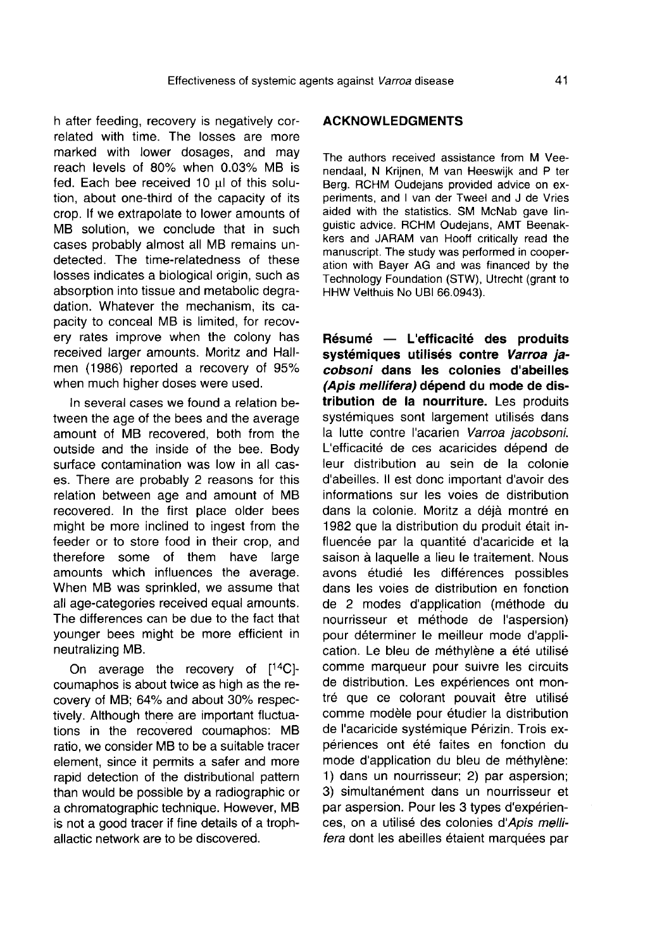h after feeding, recovery is negatively correlated with time. The losses are more marked with lower dosages, and may reach levels of 80% when 0.03% MB is fed. Each bee received 10 μl of this solution, about one-third of the capacity of its crop. If we extrapolate to lower amounts of MB solution, we conclude that in such cases probably almost all MB remains undetected. The time-relatedness of these losses indicates a biological origin, such as absorption into tissue and metabolic degradation. Whatever the mechanism, its capacity to conceal MB is limited, for recovery rates improve when the colony has received larger amounts. Moritz and Hallmen (1986) reported a recovery of 95% when much higher doses were used.

In several cases we found a relation between the age of the bees and the average amount of MB recovered, both from the outside and the inside of the bee. Body surface contamination was low in all cases. There are probably 2 reasons for this relation between age and amount of MB recovered. In the first place older bees might be more inclined to ingest from the feeder or to store food in their crop, and therefore some of them have large amounts which influences the average. When MB was sprinkled, we assume that all age-categories received equal amounts. The differences can be due to the fact that younger bees might be more efficient in neutralizing MB.

On average the recovery of [14C] coumaphos is about twice as high as the recovery of MB; 64% and about 30% respectively. Although there are important fluctuations in the recovered coumaphos: MB ratio, we consider MB to be a suitable tracer element, since it permits a safer and more rapid detection of the distributional pattern than would be possible by a radiographic or a chromatographic technique. However, MB is not a good tracer if fine details of a trophallactic network are to be discovered.

# ACKNOWLEDGMENTS

The authors received assistance from M Veenendaal, N Krijnen, M van Heeswijk and P ter Berg. RCHM Oudejans provided advice on experiments, and I van der Tweel and J de Vries aided with the statistics. SM McNab gave linguistic advice. RCHM Oudejans, AMT Beenakkers and JARAM van Hooff critically read the manuscript. The study was performed in cooperation with Bayer AG and was financed by the Technology Foundation (STW), Utrecht (grant to HHW Velthuis No UBI 66.0943).

Résumé — L'efficacité des produits systémiques utilisés contre Varroa jacobsoni dans les colonies d'abeilles (Apis mellifera) dépend du mode de distribution de la nourriture. Les produits systémiques sont largement utilisés dans la lutte contre l'acarien Varroa jacobsoni. L'efficacité de ces acaricides dépend de leur distribution au sein de la colonie d'abeilles. Il est donc important d'avoir des informations sur les voies de distribution dans la colonie. Moritz a déjà montré en 1982 que la distribution du produit était influencée par la quantité d'acaricide et la saison à laquelle a lieu le traitement. Nous avons étudié les différences possibles dans les voies de distribution en fonction de 2 modes d'application (méthode du nourrisseur et méthode de l'aspersion) pour déterminer le meilleur mode d'application. Le bleu de méthylène a été utilisé comme marqueur pour suivre les circuits de distribution. Les expériences ont montré que ce colorant pouvait être utilisé comme modèle pour étudier la distribution de l'acaricide systémique Périzin. Trois expériences ont été faites en fonction du mode d'application du bleu de méthylène: 1) dans un nourrisseur; 2) par aspersion; 3) simultanément dans un nourrisseur et par aspersion. Pour les 3 types d'expérien ces, on a utilisé des colonies d'Apis mellifera dont les abeilles étaient marquées par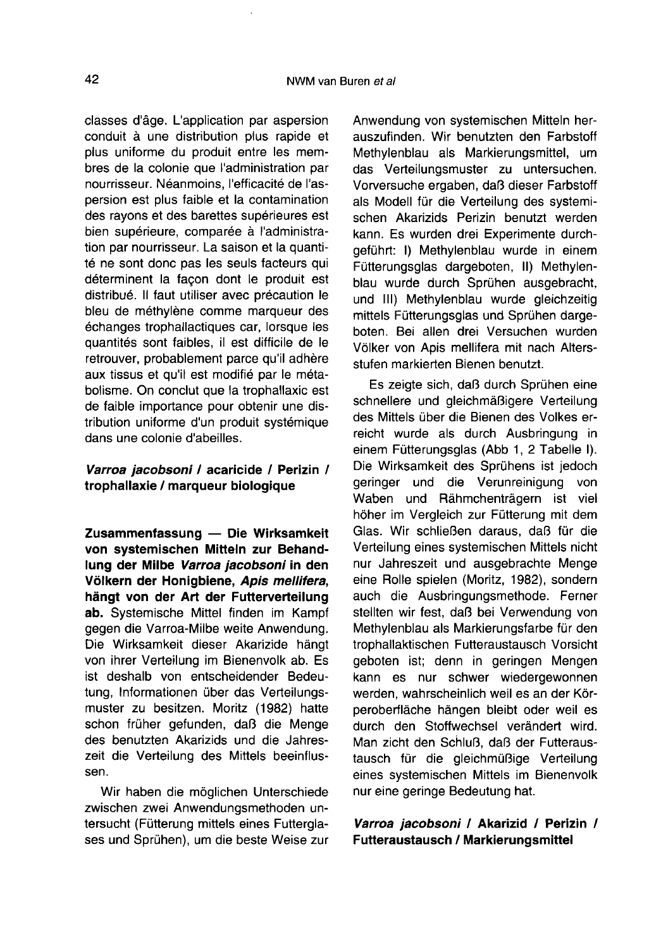classes d'âge. L'application par aspersion conduit à une distribution plus rapide et plus uniforme du produit entre les membres de la colonie que l'administration par nourrisseur. Néanmoins, l'efficacité de l'aspersion est plus faible et la contamination des rayons et des barettes supérieures est bien supérieure, comparée à l'administration par nourrisseur. La saison et la quantité ne sont donc pas les seuls facteurs qui déterminent la façon dont le produit est distribué. Il faut utiliser avec précaution le bleu de méthylène comme marqueur des échanges trophallactiques car, lorsque les quantités sont faibles, il est difficile de le retrouver, probablement parce qu'il adhère aux tissus et qu'il est modifié par le métabolisme. On conclut que la trophallaxic est de faible importance pour obtenir une distribution uniforme d'un produit systémique dans une colonie d'abeilles.

# Varroa jacobsoni / acaricide / Perizin / trophallaxie / marqueur biologique

Zusammenfassung — Die Wirksamkeit von systemischen Mitteln zur Behandlung der Milbe Varroa jacobsoni in den Völkern der Honigbiene, Apis mellifera, hängt von der Art der Futterverteilung ab. Systemische Mittel finden im Kampf gegen die Varroa-Milbe weite Anwendung. Die Wirksamkeit dieser Akarizide hängt von ihrer Verteilung im Bienenvolk ab. Es ist deshalb von entscheidender Bedeutung, Informationen über das Verteilungsmuster zu besitzen. Moritz (1982) hatte schon früher gefunden, daß die Menge des benutzten Akarizids und die Jahreszeit die Verteilung des Mittels beeinflussen.

Wir haben die möglichen Unterschiede zwischen zwei Anwendungsmethoden untersucht (Fütterung mittels eines Futtergla ses und Sprühen), um die beste Weise zur Anwendung von systemischen Mitteln herauszufinden. Wir benutzten den Farbstoff Methylenblau als Markierungsmittel, um das Verteilungsmuster zu untersuchen. Vorversuche ergaben, daß dieser Farbstoff als Modell für die Verteilung des systemischen Akarizids Perizin benutzt werden kann. Es wurden drei Experimente durchgeführt: I) Methylenblau wurde in einem Fütterungsglas dargeboten, II) Methylenblau wurde durch Sprühen ausgebracht, und III) Methylenblau wurde gleichzeitig mittels Fütterungsglas und Sprühen dargeboten. Bei allen drei Versuchen wurden Völker von Apis mellifera mit nach Altersstufen markierten Bienen benutzt.

Es zeigte sich, daß durch Sprühen eine schnellere und gleichmäßigere Verteilung des Mittels über die Bienen des Volkes erreicht wurde als durch Ausbringung in einem Fütterungsglas (Abb 1, 2 Tabelle I). Die Wirksamkeit des Sprühens ist jedoch geringer und die Verunreinigung von Waben und Rähmchenträgern ist viel höher im Vergleich zur Fütterung mit dem Glas. Wir schließen daraus, daß für die Verteilung eines systemischen Mittels nicht nur Jahreszeit und ausgebrachte Menge eine Rolle spielen (Moritz, 1982), sondern auch die Ausbringungsmethode. Ferner stellten wir fest, daß bei Verwendung von Methylenblau als Markierungsfarbe für den trophallaktischen Futteraustausch Vorsicht geboten ist; denn in geringen Mengen kann es nur schwer wiedergewonnen werden, wahrscheinlich weil es an der Körperoberfläche hängen bleibt oder weil es durch den Stoffwechsel verändert wird. Man zicht den Schluß, daß der Futteraustausch für die gleichmüßige Verteilung eines systemischen Mittels im Bienenvolk nur eine geringe Bedeutung hat.

# Varroa jacobsoni / Akarizid / Perizin / Futteraustausch / Markierungsmittel